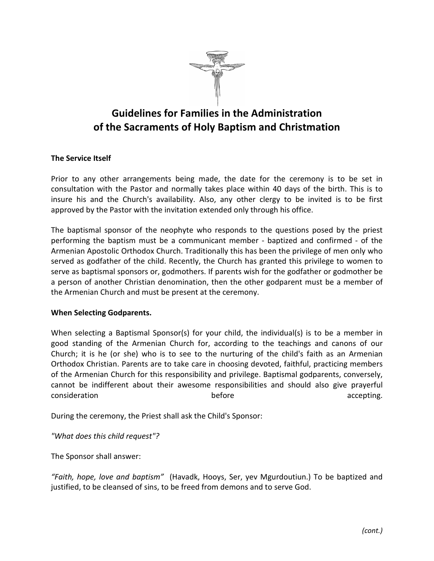

## Guidelines for Families in the Administration of the Sacraments of Holy Baptism and Christmation

## The Service Itself

Prior to any other arrangements being made, the date for the ceremony is to be set in consultation with the Pastor and normally takes place within 40 days of the birth. This is to insure his and the Church's availability. Also, any other clergy to be invited is to be first approved by the Pastor with the invitation extended only through his office.

The baptismal sponsor of the neophyte who responds to the questions posed by the priest performing the baptism must be a communicant member - baptized and confirmed - of the Armenian Apostolic Orthodox Church. Traditionally this has been the privilege of men only who served as godfather of the child. Recently, the Church has granted this privilege to women to serve as baptismal sponsors or, godmothers. If parents wish for the godfather or godmother be a person of another Christian denomination, then the other godparent must be a member of the Armenian Church and must be present at the ceremony.

## When Selecting Godparents.

When selecting a Baptismal Sponsor(s) for your child, the individual(s) is to be a member in good standing of the Armenian Church for, according to the teachings and canons of our Church; it is he (or she) who is to see to the nurturing of the child's faith as an Armenian Orthodox Christian. Parents are to take care in choosing devoted, faithful, practicing members of the Armenian Church for this responsibility and privilege. Baptismal godparents, conversely, cannot be indifferent about their awesome responsibilities and should also give prayerful consideration and the consideration consideration before the before that accepting.

During the ceremony, the Priest shall ask the Child's Sponsor:

"What does this child request"?

The Sponsor shall answer:

"Faith, hope, love and baptism" (Havadk, Hooys, Ser, yev Mgurdoutiun.) To be baptized and justified, to be cleansed of sins, to be freed from demons and to serve God.